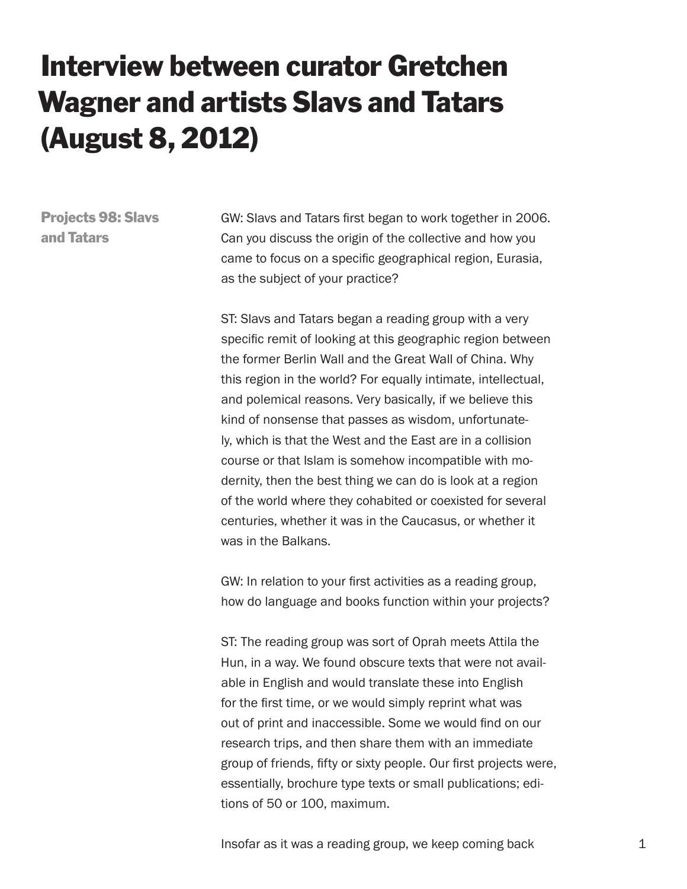## Interview between curator Gretchen Wagner and artists Slavs and Tatars (August 8, 2012)

Projects 98: Slavs and Tatars

GW: Slavs and Tatars first began to work together in 2006. Can you discuss the origin of the collective and how you came to focus on a specific geographical region, Eurasia, as the subject of your practice?

ST: Slavs and Tatars began a reading group with a very specific remit of looking at this geographic region between the former Berlin Wall and the Great Wall of China. Why this region in the world? For equally intimate, intellectual, and polemical reasons. Very basically, if we believe this kind of nonsense that passes as wisdom, unfortunately, which is that the West and the East are in a collision course or that Islam is somehow incompatible with modernity, then the best thing we can do is look at a region of the world where they cohabited or coexisted for several centuries, whether it was in the Caucasus, or whether it was in the Balkans.

GW: In relation to your first activities as a reading group, how do language and books function within your projects?

ST: The reading group was sort of Oprah meets Attila the Hun, in a way. We found obscure texts that were not available in English and would translate these into English for the first time, or we would simply reprint what was out of print and inaccessible. Some we would find on our research trips, and then share them with an immediate group of friends, fifty or sixty people. Our first projects were, essentially, brochure type texts or small publications; editions of 50 or 100, maximum.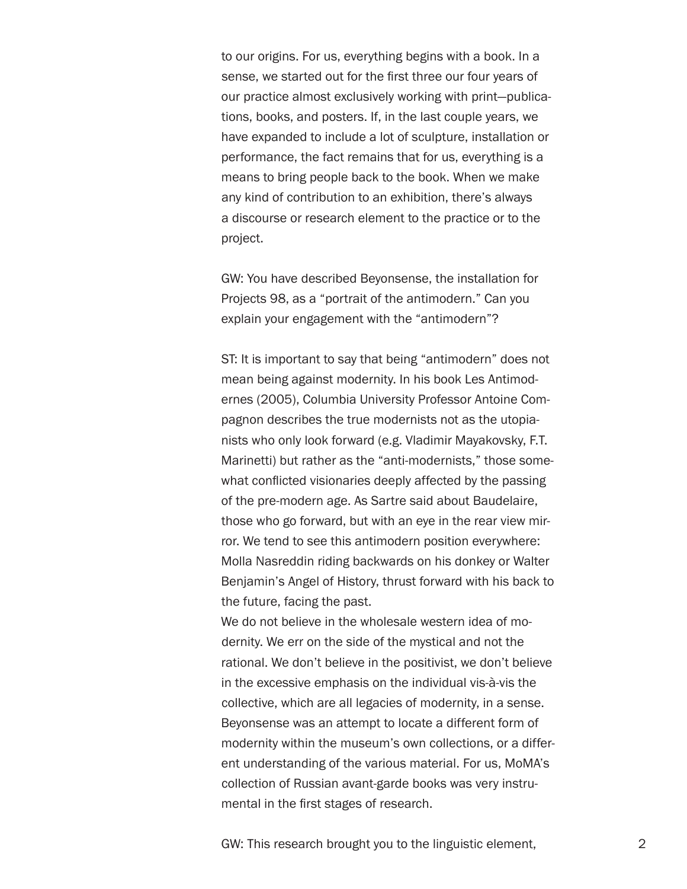to our origins. For us, everything begins with a book. In a sense, we started out for the first three our four years of our practice almost exclusively working with print—publications, books, and posters. If, in the last couple years, we have expanded to include a lot of sculpture, installation or performance, the fact remains that for us, everything is a means to bring people back to the book. When we make any kind of contribution to an exhibition, there's always a discourse or research element to the practice or to the project.

GW: You have described Beyonsense, the installation for Projects 98, as a "portrait of the antimodern." Can you explain your engagement with the "antimodern"?

ST: It is important to say that being "antimodern" does not mean being against modernity. In his book Les Antimodernes (2005), Columbia University Professor Antoine Compagnon describes the true modernists not as the utopianists who only look forward (e.g. Vladimir Mayakovsky, F.T. Marinetti) but rather as the "anti-modernists," those somewhat conflicted visionaries deeply affected by the passing of the pre-modern age. As Sartre said about Baudelaire, those who go forward, but with an eye in the rear view mirror. We tend to see this antimodern position everywhere: Molla Nasreddin riding backwards on his donkey or Walter Benjamin's Angel of History, thrust forward with his back to the future, facing the past.

We do not believe in the wholesale western idea of modernity. We err on the side of the mystical and not the rational. We don't believe in the positivist, we don't believe in the excessive emphasis on the individual vis-à-vis the collective, which are all legacies of modernity, in a sense. Beyonsense was an attempt to locate a different form of modernity within the museum's own collections, or a different understanding of the various material. For us, MoMA's collection of Russian avant-garde books was very instrumental in the first stages of research.